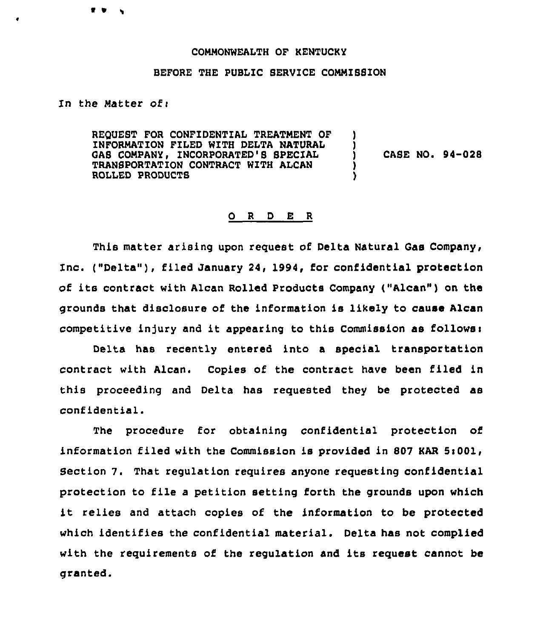## COMMONWEALTH OF KENTUCKY

## BEFORE THE PUBLIC SERVICE COMMISSION

In the Matter of  $\mathbf r$ 

 $\bullet$ 

REOUEST FOR CONFIDENTIAL TREATNENT OF INFORMATION FILED WITH DELTA NATURAL GAS COMPANY, INCORPORATED'S SPECIAL TRANSPORTATION CONTRACT WITH ALCAN ROLLED PRODUCTS ) ) ) CASE NO <sup>~</sup> 94-028 ) )

## 0 <sup>R</sup> <sup>D</sup> E R

This matter arising upon request of Delta Natural Gas Company, inc. ("Delta" ), filed January 24, 1994, for confidential protection of its contract with Alcan Rolled Products Company ("Alcan") on the grounds that disclosure of the information is likely to cause Alcan competitive injury and it appearing to this Commission as follows:

Delta has recently entered into a special transportation contract with Alcan. Copies of the contract have been filed in this proceeding and Delta has requested they be protected as confidential.

The procedure for obtaining confidential protection of information filed with the Commission is provided in 807 KAR Si001, Section 7. That regulation requires anyone requesting confidential protection to file <sup>a</sup> Petition setting forth the grounds upon which it relies and attach copies of the information to be protected which identifies the confidential material. Delta has not complied with the requirements of the regulation and its request cannot be granted.